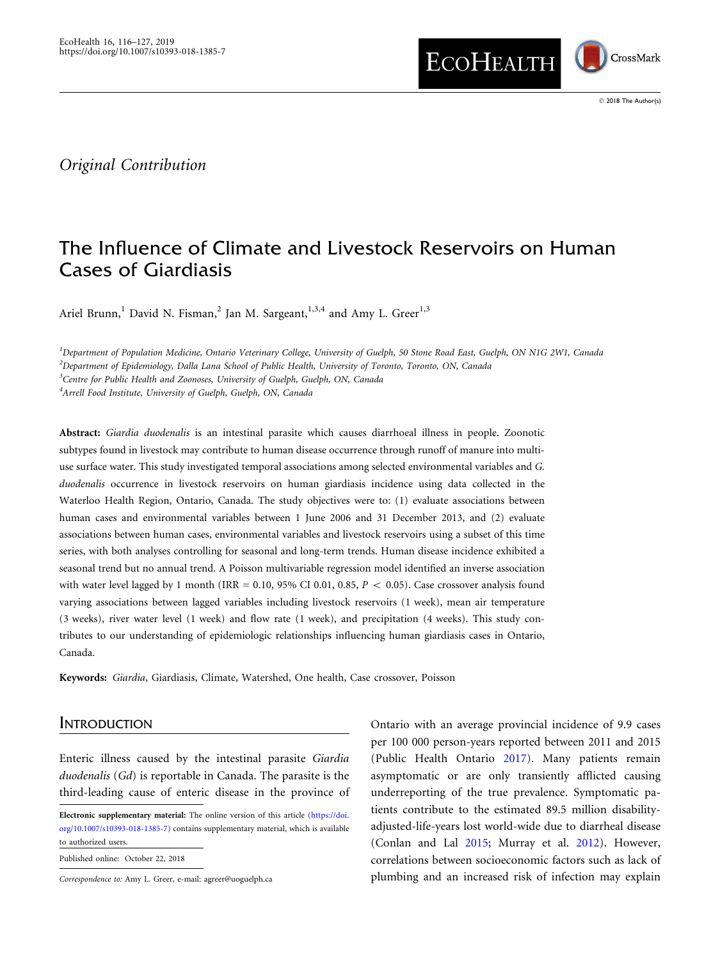# **ECOHEALTH** CrossMark

## Original Contribution

# The Influence of Climate and Livestock Reservoirs on Human Cases of Giardiasis

Ariel Brunn,<sup>1</sup> David N. Fisman,<sup>2</sup> Jan M. Sargeant,<sup>1,3,4</sup> and Amy L. Greer<sup>1,3</sup>

<sup>1</sup> Department of Population Medicine, Ontario Veterinary College, University of Guelph, 50 Stone Road East, Guelph, ON N1G 2W1, Canada <sup>2</sup>Department of Epidemiology, Dalla Lana School of Public Health, University of Toronto, Toronto, ON, Canada <sup>3</sup>Centre for Public Health and Zoonoses, University of Guelph, Guelph, ON, Canada

<sup>4</sup>Arrell Food Institute, University of Guelph, Guelph, ON, Canada

Abstract: Giardia duodenalis is an intestinal parasite which causes diarrhoeal illness in people. Zoonotic subtypes found in livestock may contribute to human disease occurrence through runoff of manure into multiuse surface water. This study investigated temporal associations among selected environmental variables and G. duodenalis occurrence in livestock reservoirs on human giardiasis incidence using data collected in the Waterloo Health Region, Ontario, Canada. The study objectives were to: (1) evaluate associations between human cases and environmental variables between 1 June 2006 and 31 December 2013, and (2) evaluate associations between human cases, environmental variables and livestock reservoirs using a subset of this time series, with both analyses controlling for seasonal and long-term trends. Human disease incidence exhibited a seasonal trend but no annual trend. A Poisson multivariable regression model identified an inverse association with water level lagged by 1 month (IRR = 0.10, 95% CI 0.01, 0.85,  $P < 0.05$ ). Case crossover analysis found varying associations between lagged variables including livestock reservoirs (1 week), mean air temperature (3 weeks), river water level (1 week) and flow rate (1 week), and precipitation (4 weeks). This study contributes to our understanding of epidemiologic relationships influencing human giardiasis cases in Ontario, Canada.

Keywords: Giardia, Giardiasis, Climate, Watershed, One health, Case crossover, Poisson

### **INTRODUCTION**

Enteric illness caused by the intestinal parasite Giardia duodenalis (Gd) is reportable in Canada. The parasite is the third-leading cause of enteric disease in the province of

Published online: October 22, 2018

Ontario with an average provincial incidence of 9.9 cases per 100 000 person-years reported between 2011 and 2015 (Public Health Ontario [2017](#page-11-0)). Many patients remain asymptomatic or are only transiently afflicted causing underreporting of the true prevalence. Symptomatic patients contribute to the estimated 89.5 million disabilityadjusted-life-years lost world-wide due to diarrheal disease (Conlan and Lal [2015;](#page-10-0) Murray et al. [2012\)](#page-10-0). However, correlations between socioeconomic factors such as lack of plumbing and an increased risk of infection may explain

Electronic supplementary material: The online version of this article ([https://doi.](https://doi.org/10.1007/s10393-018-1385-7) [org/10.1007/s10393-018-1385-7](https://doi.org/10.1007/s10393-018-1385-7)) contains supplementary material, which is available to authorized users.

Correspondence to: Amy L. Greer, e-mail: agreer@uoguelph.ca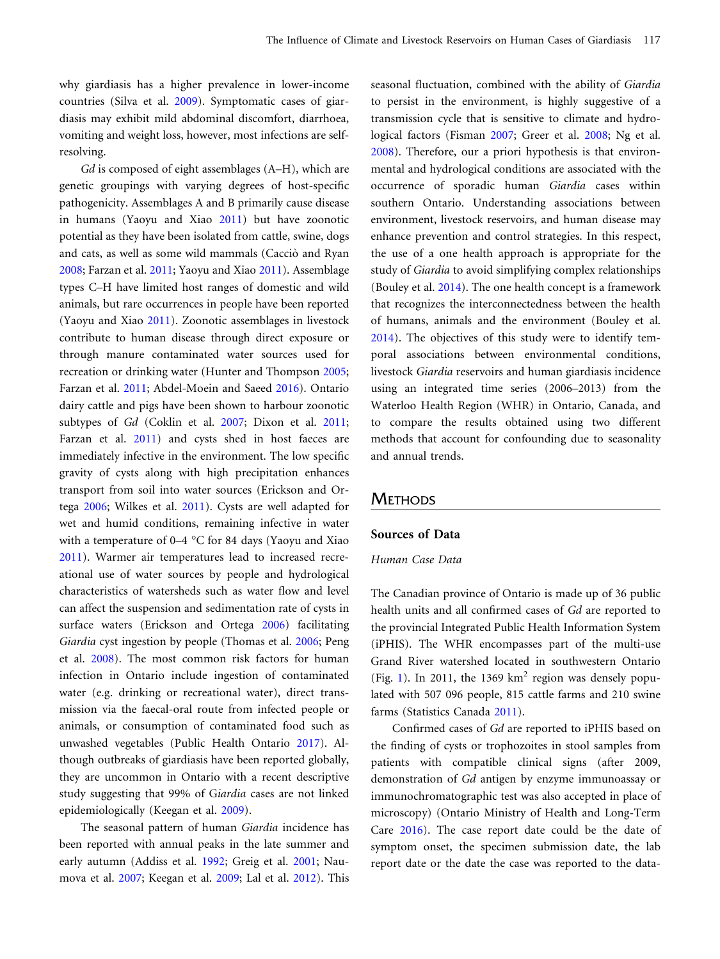why giardiasis has a higher prevalence in lower-income countries (Silva et al. [2009](#page-11-0)). Symptomatic cases of giardiasis may exhibit mild abdominal discomfort, diarrhoea, vomiting and weight loss, however, most infections are selfresolving.

Gd is composed of eight assemblages (A–H), which are genetic groupings with varying degrees of host-specific pathogenicity. Assemblages A and B primarily cause disease in humans (Yaoyu and Xiao [2011](#page-11-0)) but have zoonotic potential as they have been isolated from cattle, swine, dogs and cats, as well as some wild mammals (Cacciò and Ryan [2008](#page-10-0); Farzan et al. [2011;](#page-10-0) Yaoyu and Xiao [2011\)](#page-11-0). Assemblage types C–H have limited host ranges of domestic and wild animals, but rare occurrences in people have been reported (Yaoyu and Xiao [2011\)](#page-11-0). Zoonotic assemblages in livestock contribute to human disease through direct exposure or through manure contaminated water sources used for recreation or drinking water (Hunter and Thompson [2005;](#page-10-0) Farzan et al. [2011](#page-10-0); Abdel-Moein and Saeed [2016\)](#page-10-0). Ontario dairy cattle and pigs have been shown to harbour zoonotic subtypes of Gd (Coklin et al. [2007](#page-10-0); Dixon et al. [2011;](#page-10-0) Farzan et al. [2011](#page-10-0)) and cysts shed in host faeces are immediately infective in the environment. The low specific gravity of cysts along with high precipitation enhances transport from soil into water sources (Erickson and Ortega [2006](#page-10-0); Wilkes et al. [2011](#page-11-0)). Cysts are well adapted for wet and humid conditions, remaining infective in water with a temperature of  $0-4$  °C for 84 days (Yaoyu and Xiao [2011](#page-11-0)). Warmer air temperatures lead to increased recreational use of water sources by people and hydrological characteristics of watersheds such as water flow and level can affect the suspension and sedimentation rate of cysts in surface waters (Erickson and Ortega [2006](#page-10-0)) facilitating Giardia cyst ingestion by people (Thomas et al. [2006;](#page-11-0) Peng et al. [2008](#page-11-0)). The most common risk factors for human infection in Ontario include ingestion of contaminated water (e.g. drinking or recreational water), direct transmission via the faecal-oral route from infected people or animals, or consumption of contaminated food such as unwashed vegetables (Public Health Ontario [2017\)](#page-11-0). Although outbreaks of giardiasis have been reported globally, they are uncommon in Ontario with a recent descriptive study suggesting that 99% of Giardia cases are not linked epidemiologically (Keegan et al. [2009\)](#page-10-0).

The seasonal pattern of human Giardia incidence has been reported with annual peaks in the late summer and early autumn (Addiss et al. [1992](#page-10-0); Greig et al. [2001](#page-10-0); Naumova et al. [2007;](#page-11-0) Keegan et al. [2009](#page-10-0); Lal et al. [2012](#page-10-0)). This seasonal fluctuation, combined with the ability of Giardia to persist in the environment, is highly suggestive of a transmission cycle that is sensitive to climate and hydrological factors (Fisman [2007;](#page-10-0) Greer et al. [2008](#page-10-0); Ng et al. [2008](#page-11-0)). Therefore, our a priori hypothesis is that environmental and hydrological conditions are associated with the occurrence of sporadic human Giardia cases within southern Ontario. Understanding associations between environment, livestock reservoirs, and human disease may enhance prevention and control strategies. In this respect, the use of a one health approach is appropriate for the study of Giardia to avoid simplifying complex relationships (Bouley et al. [2014](#page-10-0)). The one health concept is a framework that recognizes the interconnectedness between the health of humans, animals and the environment (Bouley et al. [2014](#page-10-0)). The objectives of this study were to identify temporal associations between environmental conditions, livestock Giardia reservoirs and human giardiasis incidence using an integrated time series (2006–2013) from the Waterloo Health Region (WHR) in Ontario, Canada, and to compare the results obtained using two different methods that account for confounding due to seasonality and annual trends.

### **METHODS**

### Sources of Data

### Human Case Data

The Canadian province of Ontario is made up of 36 public health units and all confirmed cases of Gd are reported to the provincial Integrated Public Health Information System (iPHIS). The WHR encompasses part of the multi-use Grand River watershed located in southwestern Ontario (Fig. [1\)](#page-2-0). In 2011, the 1369  $km^2$  region was densely populated with 507 096 people, 815 cattle farms and 210 swine farms (Statistics Canada [2011\)](#page-11-0).

Confirmed cases of Gd are reported to iPHIS based on the finding of cysts or trophozoites in stool samples from patients with compatible clinical signs (after 2009, demonstration of Gd antigen by enzyme immunoassay or immunochromatographic test was also accepted in place of microscopy) (Ontario Ministry of Health and Long-Term Care [2016](#page-11-0)). The case report date could be the date of symptom onset, the specimen submission date, the lab report date or the date the case was reported to the data-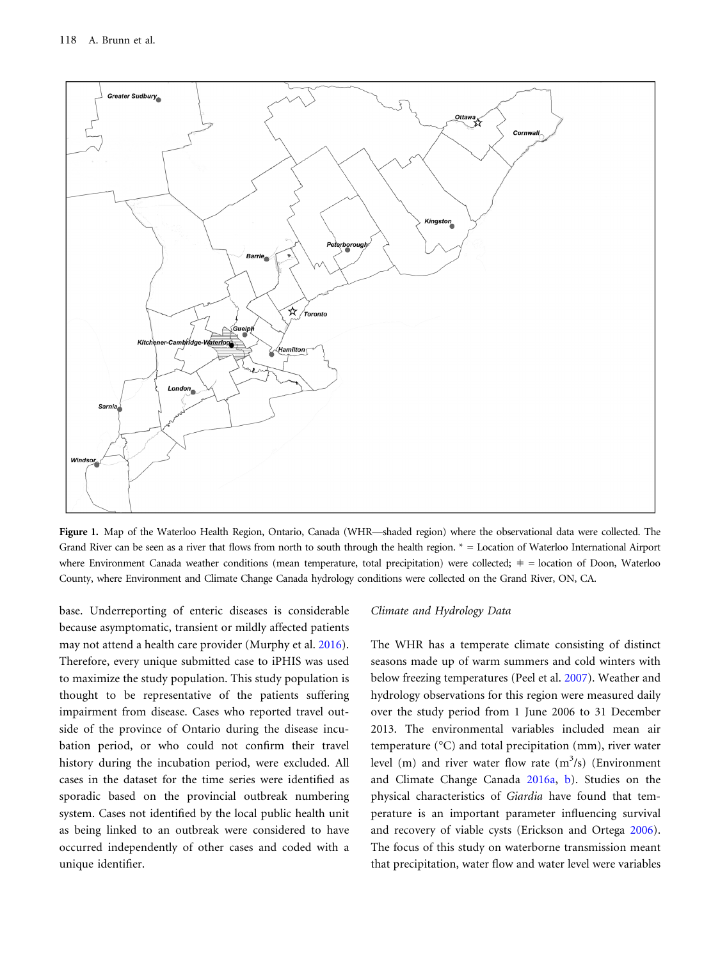<span id="page-2-0"></span>

Figure 1. Map of the Waterloo Health Region, Ontario, Canada (WHR—shaded region) where the observational data were collected. The Grand River can be seen as a river that flows from north to south through the health region. \* = Location of Waterloo International Airport where Environment Canada weather conditions (mean temperature, total precipitation) were collected;  $\pm$  = location of Doon, Waterloo County, where Environment and Climate Change Canada hydrology conditions were collected on the Grand River, ON, CA.

base. Underreporting of enteric diseases is considerable because asymptomatic, transient or mildly affected patients may not attend a health care provider (Murphy et al. [2016\)](#page-10-0). Therefore, every unique submitted case to iPHIS was used to maximize the study population. This study population is thought to be representative of the patients suffering impairment from disease. Cases who reported travel outside of the province of Ontario during the disease incubation period, or who could not confirm their travel history during the incubation period, were excluded. All cases in the dataset for the time series were identified as sporadic based on the provincial outbreak numbering system. Cases not identified by the local public health unit as being linked to an outbreak were considered to have occurred independently of other cases and coded with a unique identifier.

#### Climate and Hydrology Data

The WHR has a temperate climate consisting of distinct seasons made up of warm summers and cold winters with below freezing temperatures (Peel et al. [2007\)](#page-11-0). Weather and hydrology observations for this region were measured daily over the study period from 1 June 2006 to 31 December 2013. The environmental variables included mean air temperature  $(^{\circ}C)$  and total precipitation (mm), river water level (m) and river water flow rate  $(m^3/s)$  (Environment and Climate Change Canada [2016a](#page-10-0), [b\)](#page-10-0). Studies on the physical characteristics of Giardia have found that temperature is an important parameter influencing survival and recovery of viable cysts (Erickson and Ortega [2006\)](#page-10-0). The focus of this study on waterborne transmission meant that precipitation, water flow and water level were variables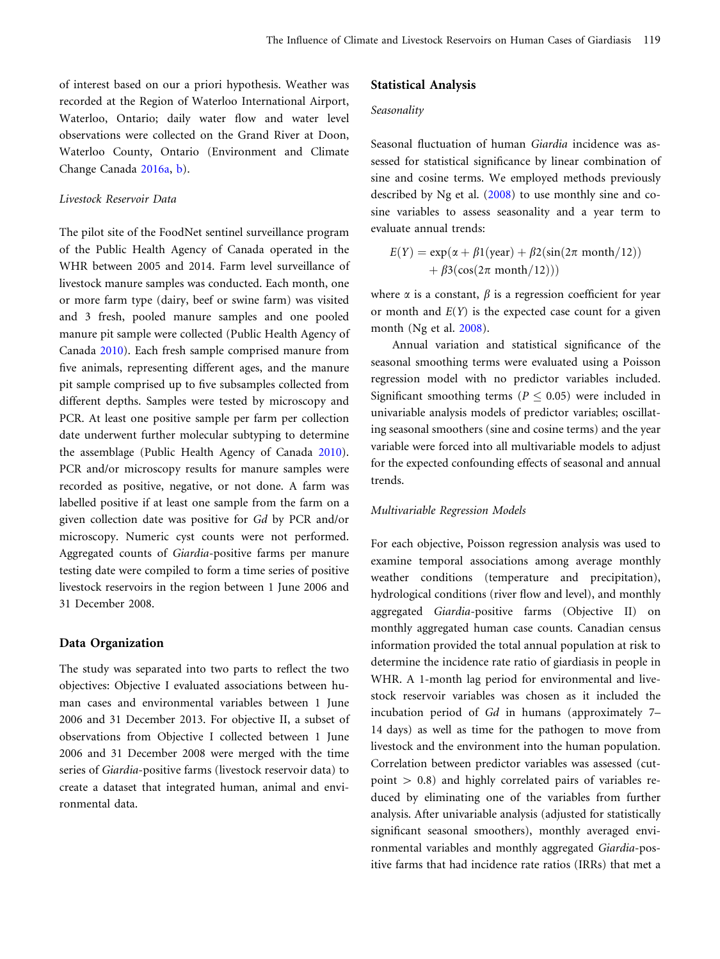of interest based on our a priori hypothesis. Weather was recorded at the Region of Waterloo International Airport, Waterloo, Ontario; daily water flow and water level observations were collected on the Grand River at Doon, Waterloo County, Ontario (Environment and Climate Change Canada [2016a,](#page-10-0) [b\)](#page-10-0).

### Livestock Reservoir Data

The pilot site of the FoodNet sentinel surveillance program of the Public Health Agency of Canada operated in the WHR between 2005 and 2014. Farm level surveillance of livestock manure samples was conducted. Each month, one or more farm type (dairy, beef or swine farm) was visited and 3 fresh, pooled manure samples and one pooled manure pit sample were collected (Public Health Agency of Canada [2010\)](#page-11-0). Each fresh sample comprised manure from five animals, representing different ages, and the manure pit sample comprised up to five subsamples collected from different depths. Samples were tested by microscopy and PCR. At least one positive sample per farm per collection date underwent further molecular subtyping to determine the assemblage (Public Health Agency of Canada [2010\)](#page-11-0). PCR and/or microscopy results for manure samples were recorded as positive, negative, or not done. A farm was labelled positive if at least one sample from the farm on a given collection date was positive for Gd by PCR and/or microscopy. Numeric cyst counts were not performed. Aggregated counts of Giardia-positive farms per manure testing date were compiled to form a time series of positive livestock reservoirs in the region between 1 June 2006 and 31 December 2008.

#### Data Organization

The study was separated into two parts to reflect the two objectives: Objective I evaluated associations between human cases and environmental variables between 1 June 2006 and 31 December 2013. For objective II, a subset of observations from Objective I collected between 1 June 2006 and 31 December 2008 were merged with the time series of Giardia-positive farms (livestock reservoir data) to create a dataset that integrated human, animal and environmental data.

#### Statistical Analysis

#### Seasonality

Seasonal fluctuation of human Giardia incidence was assessed for statistical significance by linear combination of sine and cosine terms. We employed methods previously described by Ng et al. ([2008\)](#page-11-0) to use monthly sine and cosine variables to assess seasonality and a year term to evaluate annual trends:

$$
E(Y) = \exp(\alpha + \beta 1(\text{year}) + \beta 2(\sin(2\pi \text{ month}/12)) + \beta 3(\cos(2\pi \text{ month}/12)))
$$

where  $\alpha$  is a constant,  $\beta$  is a regression coefficient for year or month and  $E(Y)$  is the expected case count for a given month (Ng et al. [2008\)](#page-11-0).

Annual variation and statistical significance of the seasonal smoothing terms were evaluated using a Poisson regression model with no predictor variables included. Significant smoothing terms ( $P \leq 0.05$ ) were included in univariable analysis models of predictor variables; oscillating seasonal smoothers (sine and cosine terms) and the year variable were forced into all multivariable models to adjust for the expected confounding effects of seasonal and annual trends.

#### Multivariable Regression Models

For each objective, Poisson regression analysis was used to examine temporal associations among average monthly weather conditions (temperature and precipitation), hydrological conditions (river flow and level), and monthly aggregated Giardia-positive farms (Objective II) on monthly aggregated human case counts. Canadian census information provided the total annual population at risk to determine the incidence rate ratio of giardiasis in people in WHR. A 1-month lag period for environmental and livestock reservoir variables was chosen as it included the incubation period of Gd in humans (approximately 7– 14 days) as well as time for the pathogen to move from livestock and the environment into the human population. Correlation between predictor variables was assessed (cutpoint > 0.8) and highly correlated pairs of variables reduced by eliminating one of the variables from further analysis. After univariable analysis (adjusted for statistically significant seasonal smoothers), monthly averaged environmental variables and monthly aggregated Giardia-positive farms that had incidence rate ratios (IRRs) that met a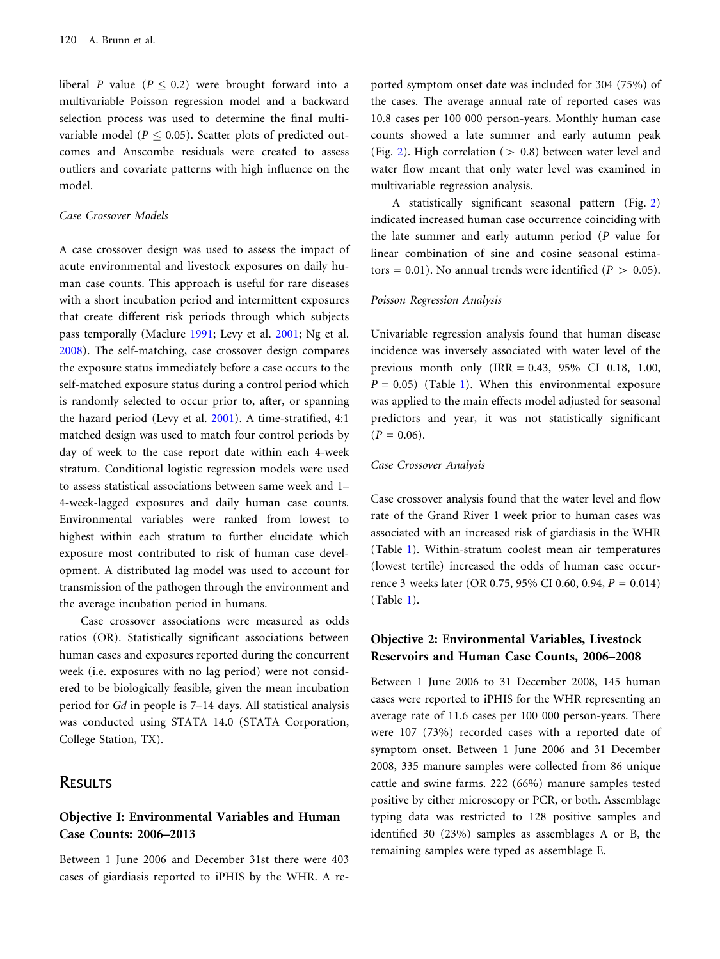liberal P value ( $P \leq 0.2$ ) were brought forward into a multivariable Poisson regression model and a backward selection process was used to determine the final multivariable model ( $P \leq 0.05$ ). Scatter plots of predicted outcomes and Anscombe residuals were created to assess outliers and covariate patterns with high influence on the model.

### Case Crossover Models

A case crossover design was used to assess the impact of acute environmental and livestock exposures on daily human case counts. This approach is useful for rare diseases with a short incubation period and intermittent exposures that create different risk periods through which subjects pass temporally (Maclure [1991;](#page-10-0) Levy et al. [2001;](#page-10-0) Ng et al. [2008](#page-11-0)). The self-matching, case crossover design compares the exposure status immediately before a case occurs to the self-matched exposure status during a control period which is randomly selected to occur prior to, after, or spanning the hazard period (Levy et al. [2001](#page-10-0)). A time-stratified, 4:1 matched design was used to match four control periods by day of week to the case report date within each 4-week stratum. Conditional logistic regression models were used to assess statistical associations between same week and 1– 4-week-lagged exposures and daily human case counts. Environmental variables were ranked from lowest to highest within each stratum to further elucidate which exposure most contributed to risk of human case development. A distributed lag model was used to account for transmission of the pathogen through the environment and the average incubation period in humans.

Case crossover associations were measured as odds ratios (OR). Statistically significant associations between human cases and exposures reported during the concurrent week (i.e. exposures with no lag period) were not considered to be biologically feasible, given the mean incubation period for Gd in people is 7–14 days. All statistical analysis was conducted using STATA 14.0 (STATA Corporation, College Station, TX).

### **RESULTS**

### Objective I: Environmental Variables and Human Case Counts: 2006–2013

Between 1 June 2006 and December 31st there were 403 cases of giardiasis reported to iPHIS by the WHR. A reported symptom onset date was included for 304 (75%) of the cases. The average annual rate of reported cases was 10.8 cases per 100 000 person-years. Monthly human case counts showed a late summer and early autumn peak (Fig. [2\)](#page-5-0). High correlation ( $> 0.8$ ) between water level and water flow meant that only water level was examined in multivariable regression analysis.

A statistically significant seasonal pattern (Fig. [2](#page-5-0)) indicated increased human case occurrence coinciding with the late summer and early autumn period (P value for linear combination of sine and cosine seasonal estimators = 0.01). No annual trends were identified ( $P > 0.05$ ).

### Poisson Regression Analysis

Univariable regression analysis found that human disease incidence was inversely associated with water level of the previous month only (IRR = 0.43, 95% CI 0.18, 1.00,  $P = 0.05$ ) (Table [1\)](#page-6-0). When this environmental exposure was applied to the main effects model adjusted for seasonal predictors and year, it was not statistically significant  $(P = 0.06)$ .

#### Case Crossover Analysis

Case crossover analysis found that the water level and flow rate of the Grand River 1 week prior to human cases was associated with an increased risk of giardiasis in the WHR (Table [1\)](#page-6-0). Within-stratum coolest mean air temperatures (lowest tertile) increased the odds of human case occurrence 3 weeks later (OR 0.75, 95% CI 0.60, 0.94, P = 0.014) (Table [1\)](#page-6-0).

### Objective 2: Environmental Variables, Livestock Reservoirs and Human Case Counts, 2006–2008

Between 1 June 2006 to 31 December 2008, 145 human cases were reported to iPHIS for the WHR representing an average rate of 11.6 cases per 100 000 person-years. There were 107 (73%) recorded cases with a reported date of symptom onset. Between 1 June 2006 and 31 December 2008, 335 manure samples were collected from 86 unique cattle and swine farms. 222 (66%) manure samples tested positive by either microscopy or PCR, or both. Assemblage typing data was restricted to 128 positive samples and identified 30 (23%) samples as assemblages A or B, the remaining samples were typed as assemblage E.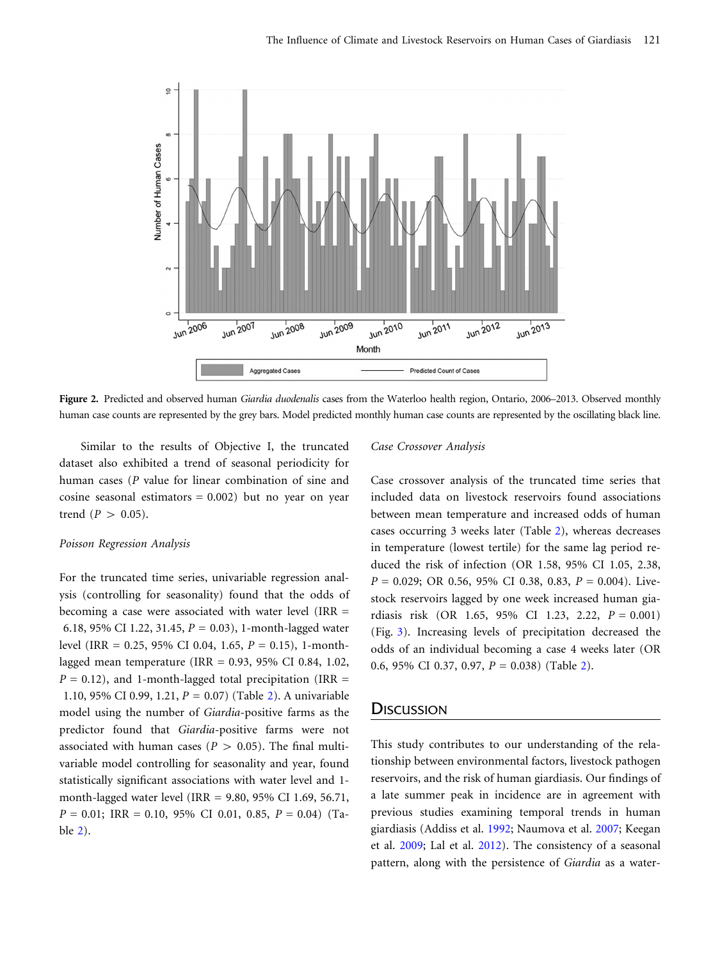<span id="page-5-0"></span>

Figure 2. Predicted and observed human Giardia duodenalis cases from the Waterloo health region, Ontario, 2006–2013. Observed monthly human case counts are represented by the grey bars. Model predicted monthly human case counts are represented by the oscillating black line.

Similar to the results of Objective I, the truncated dataset also exhibited a trend of seasonal periodicity for human cases (P value for linear combination of sine and cosine seasonal estimators  $= 0.002$ ) but no year on year trend  $(P > 0.05)$ .

#### Poisson Regression Analysis

For the truncated time series, univariable regression analysis (controlling for seasonality) found that the odds of becoming a case were associated with water level (IRR = 6.18, 95% CI 1.22, 31.45,  $P = 0.03$ ), 1-month-lagged water level (IRR = 0.25, 95% CI 0.04, 1.65,  $P = 0.15$ ), 1-monthlagged mean temperature (IRR = 0.93, 95% CI 0.84, 1.02,  $P = 0.12$ ), and 1-month-lagged total precipitation (IRR = 1.10, 95% CI 0.99, 1.[2](#page-7-0)1,  $P = 0.07$ ) (Table 2). A univariable model using the number of Giardia-positive farms as the predictor found that Giardia-positive farms were not associated with human cases ( $P > 0.05$ ). The final multivariable model controlling for seasonality and year, found statistically significant associations with water level and 1 month-lagged water level (IRR = 9.80, 95% CI 1.69, 56.71,  $P = 0.01$ ; IRR = 0.10, 95% CI 0.01, 0.85,  $P = 0.04$ ) (Table [2\)](#page-7-0).

#### Case Crossover Analysis

Case crossover analysis of the truncated time series that included data on livestock reservoirs found associations between mean temperature and increased odds of human cases occurring 3 weeks later (Table [2\)](#page-7-0), whereas decreases in temperature (lowest tertile) for the same lag period reduced the risk of infection (OR 1.58, 95% CI 1.05, 2.38,  $P = 0.029$ ; OR 0.56, 95% CI 0.38, 0.83,  $P = 0.004$ ). Livestock reservoirs lagged by one week increased human giardiasis risk (OR 1.65, 95% CI 1.23, 2.22,  $P = 0.001$ ) (Fig. [3\)](#page-8-0). Increasing levels of precipitation decreased the odds of an individual becoming a case 4 weeks later (OR 0.6, 95% CI 0.37, 0.97, P = 0.038) (Table [2\)](#page-7-0).

### **DISCUSSION**

This study contributes to our understanding of the relationship between environmental factors, livestock pathogen reservoirs, and the risk of human giardiasis. Our findings of a late summer peak in incidence are in agreement with previous studies examining temporal trends in human giardiasis (Addiss et al. [1992](#page-10-0); Naumova et al. [2007;](#page-11-0) Keegan et al. [2009;](#page-10-0) Lal et al. [2012\)](#page-10-0). The consistency of a seasonal pattern, along with the persistence of Giardia as a water-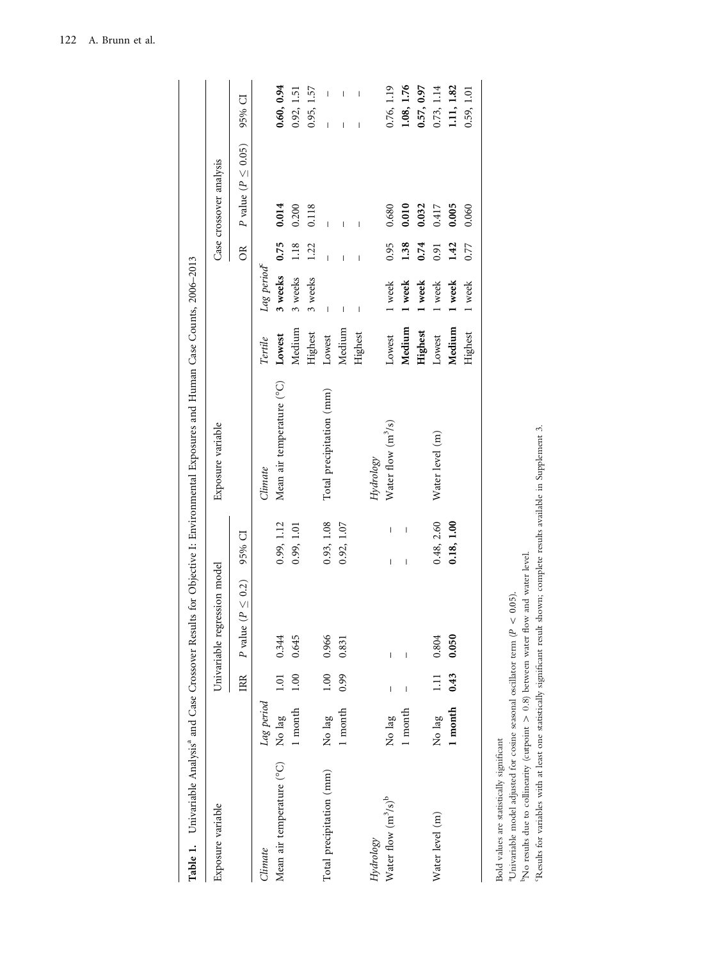<span id="page-6-0"></span>

| Exposure variable                |            |                                                                                                                                                                                                                                                                                                                                                                                  | Jnivariable regression model |                                                                                                                                                                                                                                                                                                                                                                                                                                                                                                                                                                                                                                                                                                                                                                      | Exposure variable         |         |                                |                          | Case crossover analysis     |                   |
|----------------------------------|------------|----------------------------------------------------------------------------------------------------------------------------------------------------------------------------------------------------------------------------------------------------------------------------------------------------------------------------------------------------------------------------------|------------------------------|----------------------------------------------------------------------------------------------------------------------------------------------------------------------------------------------------------------------------------------------------------------------------------------------------------------------------------------------------------------------------------------------------------------------------------------------------------------------------------------------------------------------------------------------------------------------------------------------------------------------------------------------------------------------------------------------------------------------------------------------------------------------|---------------------------|---------|--------------------------------|--------------------------|-----------------------------|-------------------|
|                                  |            | $\mathbb{R}$                                                                                                                                                                                                                                                                                                                                                                     | $(P\leq 0.2)$<br>P value     | $95%$ CI                                                                                                                                                                                                                                                                                                                                                                                                                                                                                                                                                                                                                                                                                                                                                             |                           |         |                                | $\approx$                | $P$ value ( $P \leq 0.05$ ) | 95% CI            |
| Climate                          | Lag period |                                                                                                                                                                                                                                                                                                                                                                                  |                              |                                                                                                                                                                                                                                                                                                                                                                                                                                                                                                                                                                                                                                                                                                                                                                      | Climate                   | Tertile | Lag period <sup>c</sup>        |                          |                             |                   |
| Mean air temperature (°C) No lag |            | 1.01                                                                                                                                                                                                                                                                                                                                                                             | 0.344                        | 0.99, 1.12                                                                                                                                                                                                                                                                                                                                                                                                                                                                                                                                                                                                                                                                                                                                                           | Mean air temperature (°C) | Lowest  | 3 weeks                        | 0.75                     | 0.014                       | 0.60, 0.94        |
|                                  | 1 month    | 1.00                                                                                                                                                                                                                                                                                                                                                                             | 0.645                        | 0.99, 1.01                                                                                                                                                                                                                                                                                                                                                                                                                                                                                                                                                                                                                                                                                                                                                           |                           | Medium  | 3 weeks                        | 1.18                     | 0.200                       | 0.92, 1.51        |
|                                  |            |                                                                                                                                                                                                                                                                                                                                                                                  |                              |                                                                                                                                                                                                                                                                                                                                                                                                                                                                                                                                                                                                                                                                                                                                                                      |                           | Highest | 3 weeks                        | 1.22                     | 0.118                       | 0.95, 1.57        |
| Total precipitation (mm)         | No lag     | 00.1                                                                                                                                                                                                                                                                                                                                                                             | 0.966                        | 0.93, 1.08                                                                                                                                                                                                                                                                                                                                                                                                                                                                                                                                                                                                                                                                                                                                                           | Total precipitation (mm)  | Lowest  | $\overline{\phantom{a}}$       | $\overline{1}$           |                             | $\overline{1}$    |
|                                  | 1 month    | 0.99                                                                                                                                                                                                                                                                                                                                                                             | 0.831                        | 0.92, 1.07                                                                                                                                                                                                                                                                                                                                                                                                                                                                                                                                                                                                                                                                                                                                                           |                           | Medium  | I                              | Ī                        | I                           | I                 |
|                                  |            |                                                                                                                                                                                                                                                                                                                                                                                  |                              |                                                                                                                                                                                                                                                                                                                                                                                                                                                                                                                                                                                                                                                                                                                                                                      |                           | Highest | $\begin{array}{c} \end{array}$ | $\overline{\phantom{a}}$ | I                           | $\mathbf{I}$<br>I |
| Hydrology                        |            |                                                                                                                                                                                                                                                                                                                                                                                  |                              |                                                                                                                                                                                                                                                                                                                                                                                                                                                                                                                                                                                                                                                                                                                                                                      | Hydrology                 |         |                                |                          |                             |                   |
| Water flow $(m^3/s)^b$           | No lag     | $\begin{array}{c} \rule{0pt}{2.5ex} \rule{0pt}{2.5ex} \rule{0pt}{2.5ex} \rule{0pt}{2.5ex} \rule{0pt}{2.5ex} \rule{0pt}{2.5ex} \rule{0pt}{2.5ex} \rule{0pt}{2.5ex} \rule{0pt}{2.5ex} \rule{0pt}{2.5ex} \rule{0pt}{2.5ex} \rule{0pt}{2.5ex} \rule{0pt}{2.5ex} \rule{0pt}{2.5ex} \rule{0pt}{2.5ex} \rule{0pt}{2.5ex} \rule{0pt}{2.5ex} \rule{0pt}{2.5ex} \rule{0pt}{2.5ex} \rule{0$ | I                            | $\begin{array}{c} \rule{0pt}{2.5ex} \rule{0pt}{2.5ex} \rule{0pt}{2.5ex} \rule{0pt}{2.5ex} \rule{0pt}{2.5ex} \rule{0pt}{2.5ex} \rule{0pt}{2.5ex} \rule{0pt}{2.5ex} \rule{0pt}{2.5ex} \rule{0pt}{2.5ex} \rule{0pt}{2.5ex} \rule{0pt}{2.5ex} \rule{0pt}{2.5ex} \rule{0pt}{2.5ex} \rule{0pt}{2.5ex} \rule{0pt}{2.5ex} \rule{0pt}{2.5ex} \rule{0pt}{2.5ex} \rule{0pt}{2.5ex} \rule{0$<br>$\begin{array}{c} \rule{0pt}{2.5ex} \rule{0pt}{2.5ex} \rule{0pt}{2.5ex} \rule{0pt}{2.5ex} \rule{0pt}{2.5ex} \rule{0pt}{2.5ex} \rule{0pt}{2.5ex} \rule{0pt}{2.5ex} \rule{0pt}{2.5ex} \rule{0pt}{2.5ex} \rule{0pt}{2.5ex} \rule{0pt}{2.5ex} \rule{0pt}{2.5ex} \rule{0pt}{2.5ex} \rule{0pt}{2.5ex} \rule{0pt}{2.5ex} \rule{0pt}{2.5ex} \rule{0pt}{2.5ex} \rule{0pt}{2.5ex} \rule{0$ | Water flow $(m^3/s)$      | Lowest  | 1 week                         | 0.95                     | 0.680                       | 0.76, 1.19        |
|                                  | 1 month    | I                                                                                                                                                                                                                                                                                                                                                                                |                              | I<br>Ï                                                                                                                                                                                                                                                                                                                                                                                                                                                                                                                                                                                                                                                                                                                                                               |                           | Medium  | 1 week                         | 1.38                     | 0.010                       | 1.08, 1.76        |
|                                  |            |                                                                                                                                                                                                                                                                                                                                                                                  |                              |                                                                                                                                                                                                                                                                                                                                                                                                                                                                                                                                                                                                                                                                                                                                                                      |                           | Highest | 1 week                         | 0.74                     | 0.032                       | 0.57, 0.97        |
| Water level (m)                  | No lag     | $\Xi$                                                                                                                                                                                                                                                                                                                                                                            | 0.804                        | 0.48, 2.60                                                                                                                                                                                                                                                                                                                                                                                                                                                                                                                                                                                                                                                                                                                                                           | Water level (m)           | Lowest  | 1 week                         | 0.91                     | 0.417                       | 0.73, 1.14        |
|                                  | 1 month    | 0.43                                                                                                                                                                                                                                                                                                                                                                             | 0.050                        | 0.18, 1.00                                                                                                                                                                                                                                                                                                                                                                                                                                                                                                                                                                                                                                                                                                                                                           |                           | Medium  | 1 week                         | 1.42                     | 0.005                       | 1.11, 1.82        |
|                                  |            |                                                                                                                                                                                                                                                                                                                                                                                  |                              |                                                                                                                                                                                                                                                                                                                                                                                                                                                                                                                                                                                                                                                                                                                                                                      |                           | Highest | 1 week                         | 0.77                     | 0.060                       | 0.59, 1.01        |

<sup>a</sup>Univariable model adjusted for cosine seasonal oscillator term ( $P < 0.05$ ).  $b$ No results due to collinearity (cutpoint  $> 0.8$ ) between water flow and water level. cResults for variables with at least one statistically significant result shown; complete results available in Supplement 3.

<sup>a</sup>Univariable model adjusted for cosine seasonal oscillator term ( $P < 0.05$ ).<br><sup>b</sup>No results due to collinearity (cutpoint  $> 0.8$ ) between water flow and water level.<br><sup>9</sup>Nesults for variables with at least one statistica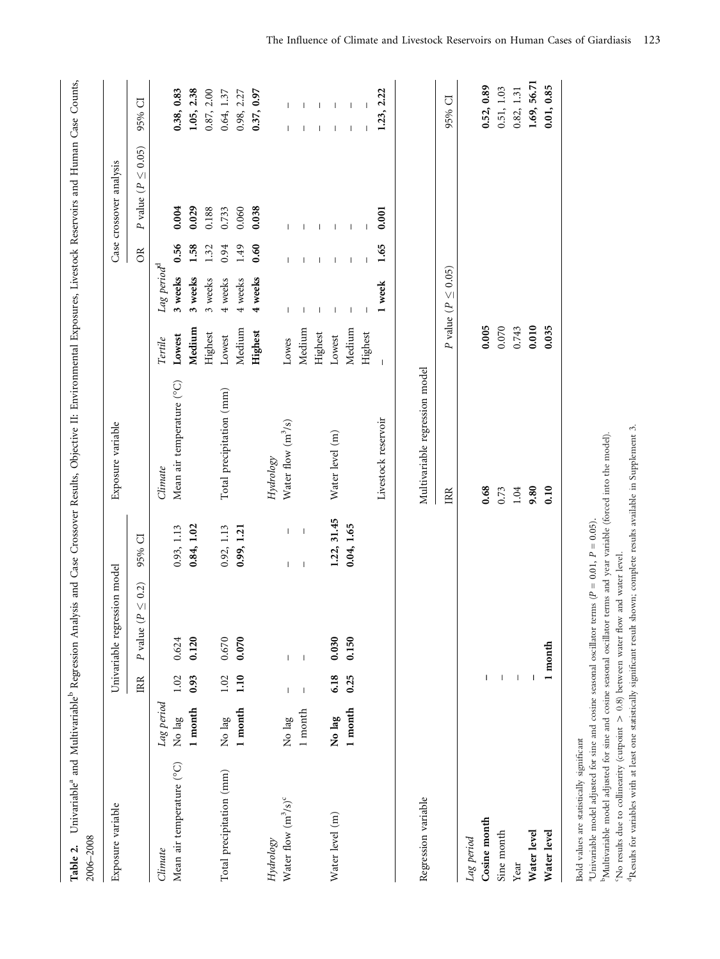<span id="page-7-0"></span>

|                | Table 2. Univariable <sup>a</sup> and Multivariable <sup>b</sup> Regre | L. Pruisanos<br>Analysis and Case Crossover Results, Objective II | ivestock Reservoirs and Human Case ( |
|----------------|------------------------------------------------------------------------|-------------------------------------------------------------------|--------------------------------------|
| $-0.06 - 2008$ |                                                                        |                                                                   |                                      |
|                | Tnivariable,                                                           |                                                                   | ase crossover analysis               |

| Exposure variable         |            |                          | ession model<br>Univariable regr |                                                            | Exposure variable              |                |                           |                          | Case crossover analysis               |                          |
|---------------------------|------------|--------------------------|----------------------------------|------------------------------------------------------------|--------------------------------|----------------|---------------------------|--------------------------|---------------------------------------|--------------------------|
|                           |            | <b>IRR</b>               | $P \leq 0.2$<br>P value          | 95% CI                                                     |                                |                |                           | $\beta$                  | P value ( $P \leq 0.05$ )             | 95% CI                   |
| Climate                   | Lag period |                          |                                  |                                                            | Climate                        | Tertile        | Lag period <sup>d</sup>   |                          |                                       |                          |
| Mean air temperature (°C) | No lag     | 1.02                     | 0.624                            | 0.93, 1.13                                                 | Mean air temperature (°C)      | Lowest         | 3 weeks                   | 0.56                     | 0.004                                 | 0.38, 0.83               |
|                           | $1$ month  | 0.93                     | 0.120                            | 0.84, 1.02                                                 |                                | Medium         | 3 weeks                   | 1.58                     | 0.029                                 | 1.05, 2.38               |
|                           |            |                          |                                  |                                                            |                                | Highest        | 3 weeks                   | 1.32                     | 0.188                                 | 0.87, 2.00               |
| Total precipitation (mm)  | No lag     | 1.02                     | 0.670                            | 0.92, 1.13                                                 | Total precipitation (mm)       | Lowest         | 4 weeks                   | 0.94                     | 0.733                                 | 0.64, 1.37               |
|                           | 1 month    | 1.10                     | 0.070                            | 0.99, 1.21                                                 |                                | Medium         | 4 weeks                   | 1.49                     | 0.060                                 | 0.98, 2.27               |
|                           |            |                          |                                  |                                                            |                                | Highest        | 4 weeks                   | 0.60                     | 0.038                                 | 0.37, 0.97               |
| Hydrology                 |            |                          |                                  |                                                            | Hydrology                      |                |                           |                          |                                       |                          |
| Water flow $(m^3/s)^c$    | No lag     | L                        | L                                | $\mathbf{I}$<br>I                                          | Water flow $(m^3/s)$           | Lowes          | T                         | I                        | T                                     |                          |
|                           | $1$ month  | $\overline{1}$           | $\overline{\phantom{a}}$         | $\begin{array}{c} \end{array}$<br>$\overline{\phantom{a}}$ |                                | Medium         | I                         |                          | $\overline{1}$                        |                          |
|                           |            |                          |                                  |                                                            |                                | Highest        |                           |                          | T                                     | T                        |
| Water level (m)           | No lag     | 6.18                     | 0.030                            | 1.22, 31.45                                                | Water level (m)                | Lowest         |                           |                          |                                       | $\mathbf{I}$             |
|                           | 1 month    | 0.25                     | 0.150                            | 0.04, 1.65                                                 |                                | Medium         | I                         | $\overline{\phantom{a}}$ | $\begin{array}{c} \hline \end{array}$ | $\mathsf{I}$<br>I        |
|                           |            |                          |                                  |                                                            |                                | Highest        |                           |                          |                                       | $\overline{\phantom{a}}$ |
|                           |            |                          |                                  |                                                            | Livestock reservoir            | $\overline{1}$ | 1 week                    | 1.65                     | 0.001                                 | 1.23, 2.22               |
|                           |            |                          |                                  |                                                            |                                |                |                           |                          |                                       |                          |
| Regression variable       |            |                          |                                  |                                                            | Multivariable regression model |                |                           |                          |                                       |                          |
|                           |            |                          |                                  |                                                            | R <sub>R</sub>                 |                | P value ( $P \leq 0.05$ ) |                          |                                       | 95% CI                   |
| Lag period                |            |                          |                                  |                                                            |                                |                |                           |                          |                                       |                          |
| Cosine month              |            | I                        |                                  |                                                            | 0.68                           | 0.005          |                           |                          |                                       | 0.52, 0.89               |
| Sine month                |            | I                        |                                  |                                                            | 0.73                           | 0.070          |                           |                          |                                       | 0.51, 1.03               |
| Year                      |            | $\overline{\phantom{a}}$ |                                  |                                                            | 1.04                           | 0.743          |                           |                          |                                       | 0.82, 1.31               |
| Water level               |            |                          |                                  |                                                            | 9.80                           | 0.010          |                           |                          |                                       | 1.69, 56.71              |
| Water level               |            |                          | 1 month                          |                                                            | 0.10                           | 0.035          |                           |                          |                                       | 0.01, 0.85               |

Bold values are statistically significant Bold values are statistically significant

aUnivariable model adjusted for sine and cosine seasonal oscillator terms (  $P = 0.01, P = 0.05$ ).

bMultivariable model adjusted for sine and cosine seasonal oscillator terms and year variable (forced into the model).

cNo results due to collinearity (cutpoint  $^{\circ}$ No results due to collinearity (cutpoint  $>$  0.8) between water flow and water level. 0.8) between water flow and water level.

<sup>4</sup>Results for variables with at least one statistically significant result shown; complete results available in Supplement 3. dResults for variables with at least one statistically significant result shown; complete results available in Supplement 3.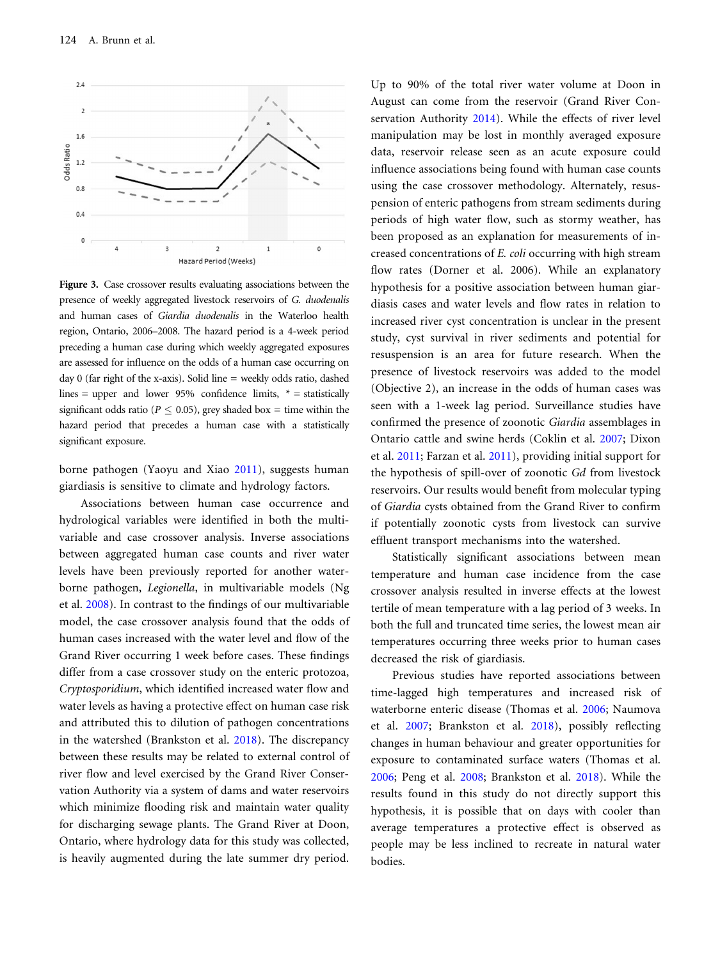<span id="page-8-0"></span>

Figure 3. Case crossover results evaluating associations between the presence of weekly aggregated livestock reservoirs of G. duodenalis and human cases of Giardia duodenalis in the Waterloo health region, Ontario, 2006–2008. The hazard period is a 4-week period preceding a human case during which weekly aggregated exposures are assessed for influence on the odds of a human case occurring on day 0 (far right of the x-axis). Solid line = weekly odds ratio, dashed lines = upper and lower 95% confidence limits,  $*$  = statistically significant odds ratio ( $P \leq 0.05$ ), grey shaded box = time within the hazard period that precedes a human case with a statistically significant exposure.

borne pathogen (Yaoyu and Xiao [2011\)](#page-11-0), suggests human giardiasis is sensitive to climate and hydrology factors.

Associations between human case occurrence and hydrological variables were identified in both the multivariable and case crossover analysis. Inverse associations between aggregated human case counts and river water levels have been previously reported for another waterborne pathogen, Legionella, in multivariable models (Ng et al. [2008\)](#page-11-0). In contrast to the findings of our multivariable model, the case crossover analysis found that the odds of human cases increased with the water level and flow of the Grand River occurring 1 week before cases. These findings differ from a case crossover study on the enteric protozoa, Cryptosporidium, which identified increased water flow and water levels as having a protective effect on human case risk and attributed this to dilution of pathogen concentrations in the watershed (Brankston et al. [2018](#page-10-0)). The discrepancy between these results may be related to external control of river flow and level exercised by the Grand River Conservation Authority via a system of dams and water reservoirs which minimize flooding risk and maintain water quality for discharging sewage plants. The Grand River at Doon, Ontario, where hydrology data for this study was collected, is heavily augmented during the late summer dry period.

Up to 90% of the total river water volume at Doon in August can come from the reservoir (Grand River Conservation Authority [2014](#page-10-0)). While the effects of river level manipulation may be lost in monthly averaged exposure data, reservoir release seen as an acute exposure could influence associations being found with human case counts using the case crossover methodology. Alternately, resuspension of enteric pathogens from stream sediments during periods of high water flow, such as stormy weather, has been proposed as an explanation for measurements of increased concentrations of E. coli occurring with high stream flow rates (Dorner et al. 2006). While an explanatory hypothesis for a positive association between human giardiasis cases and water levels and flow rates in relation to increased river cyst concentration is unclear in the present study, cyst survival in river sediments and potential for resuspension is an area for future research. When the presence of livestock reservoirs was added to the model (Objective 2), an increase in the odds of human cases was seen with a 1-week lag period. Surveillance studies have confirmed the presence of zoonotic Giardia assemblages in Ontario cattle and swine herds (Coklin et al. [2007;](#page-10-0) Dixon et al. [2011;](#page-10-0) Farzan et al. [2011](#page-10-0)), providing initial support for the hypothesis of spill-over of zoonotic Gd from livestock reservoirs. Our results would benefit from molecular typing of Giardia cysts obtained from the Grand River to confirm if potentially zoonotic cysts from livestock can survive effluent transport mechanisms into the watershed.

Statistically significant associations between mean temperature and human case incidence from the case crossover analysis resulted in inverse effects at the lowest tertile of mean temperature with a lag period of 3 weeks. In both the full and truncated time series, the lowest mean air temperatures occurring three weeks prior to human cases decreased the risk of giardiasis.

Previous studies have reported associations between time-lagged high temperatures and increased risk of waterborne enteric disease (Thomas et al. [2006;](#page-11-0) Naumova et al. [2007;](#page-11-0) Brankston et al. [2018](#page-10-0)), possibly reflecting changes in human behaviour and greater opportunities for exposure to contaminated surface waters (Thomas et al. [2006](#page-11-0); Peng et al. [2008;](#page-11-0) Brankston et al. [2018](#page-10-0)). While the results found in this study do not directly support this hypothesis, it is possible that on days with cooler than average temperatures a protective effect is observed as people may be less inclined to recreate in natural water bodies.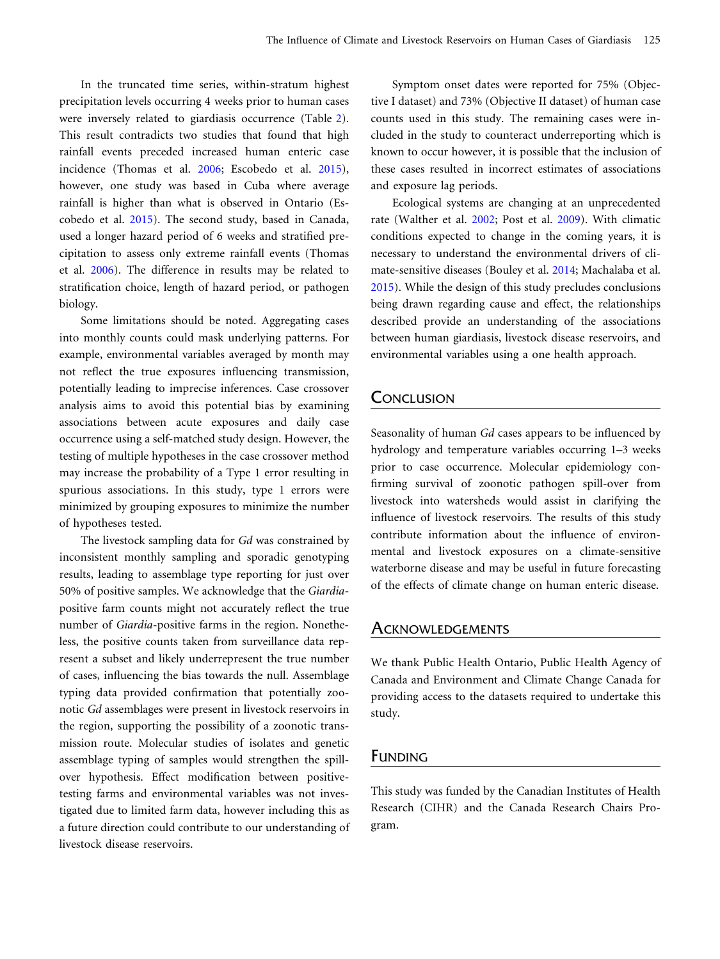In the truncated time series, within-stratum highest precipitation levels occurring 4 weeks prior to human cases were inversely related to giardiasis occurrence (Table [2\)](#page-7-0). This result contradicts two studies that found that high rainfall events preceded increased human enteric case incidence (Thomas et al. [2006](#page-11-0); Escobedo et al. [2015\)](#page-10-0), however, one study was based in Cuba where average rainfall is higher than what is observed in Ontario (Escobedo et al. [2015](#page-10-0)). The second study, based in Canada, used a longer hazard period of 6 weeks and stratified precipitation to assess only extreme rainfall events (Thomas et al. [2006\)](#page-11-0). The difference in results may be related to stratification choice, length of hazard period, or pathogen biology.

Some limitations should be noted. Aggregating cases into monthly counts could mask underlying patterns. For example, environmental variables averaged by month may not reflect the true exposures influencing transmission, potentially leading to imprecise inferences. Case crossover analysis aims to avoid this potential bias by examining associations between acute exposures and daily case occurrence using a self-matched study design. However, the testing of multiple hypotheses in the case crossover method may increase the probability of a Type 1 error resulting in spurious associations. In this study, type 1 errors were minimized by grouping exposures to minimize the number of hypotheses tested.

The livestock sampling data for Gd was constrained by inconsistent monthly sampling and sporadic genotyping results, leading to assemblage type reporting for just over 50% of positive samples. We acknowledge that the Giardiapositive farm counts might not accurately reflect the true number of Giardia-positive farms in the region. Nonetheless, the positive counts taken from surveillance data represent a subset and likely underrepresent the true number of cases, influencing the bias towards the null. Assemblage typing data provided confirmation that potentially zoonotic Gd assemblages were present in livestock reservoirs in the region, supporting the possibility of a zoonotic transmission route. Molecular studies of isolates and genetic assemblage typing of samples would strengthen the spillover hypothesis. Effect modification between positivetesting farms and environmental variables was not investigated due to limited farm data, however including this as a future direction could contribute to our understanding of livestock disease reservoirs.

Symptom onset dates were reported for 75% (Objective I dataset) and 73% (Objective II dataset) of human case counts used in this study. The remaining cases were included in the study to counteract underreporting which is known to occur however, it is possible that the inclusion of these cases resulted in incorrect estimates of associations and exposure lag periods.

Ecological systems are changing at an unprecedented rate (Walther et al. [2002](#page-11-0); Post et al. [2009\)](#page-11-0). With climatic conditions expected to change in the coming years, it is necessary to understand the environmental drivers of climate-sensitive diseases (Bouley et al. [2014;](#page-10-0) Machalaba et al. [2015](#page-10-0)). While the design of this study precludes conclusions being drawn regarding cause and effect, the relationships described provide an understanding of the associations between human giardiasis, livestock disease reservoirs, and environmental variables using a one health approach.

### **CONCLUSION**

Seasonality of human Gd cases appears to be influenced by hydrology and temperature variables occurring 1–3 weeks prior to case occurrence. Molecular epidemiology confirming survival of zoonotic pathogen spill-over from livestock into watersheds would assist in clarifying the influence of livestock reservoirs. The results of this study contribute information about the influence of environmental and livestock exposures on a climate-sensitive waterborne disease and may be useful in future forecasting of the effects of climate change on human enteric disease.

### **ACKNOWLEDGEMENTS**

We thank Public Health Ontario, Public Health Agency of Canada and Environment and Climate Change Canada for providing access to the datasets required to undertake this study.

### FUNDING

This study was funded by the Canadian Institutes of Health Research (CIHR) and the Canada Research Chairs Program.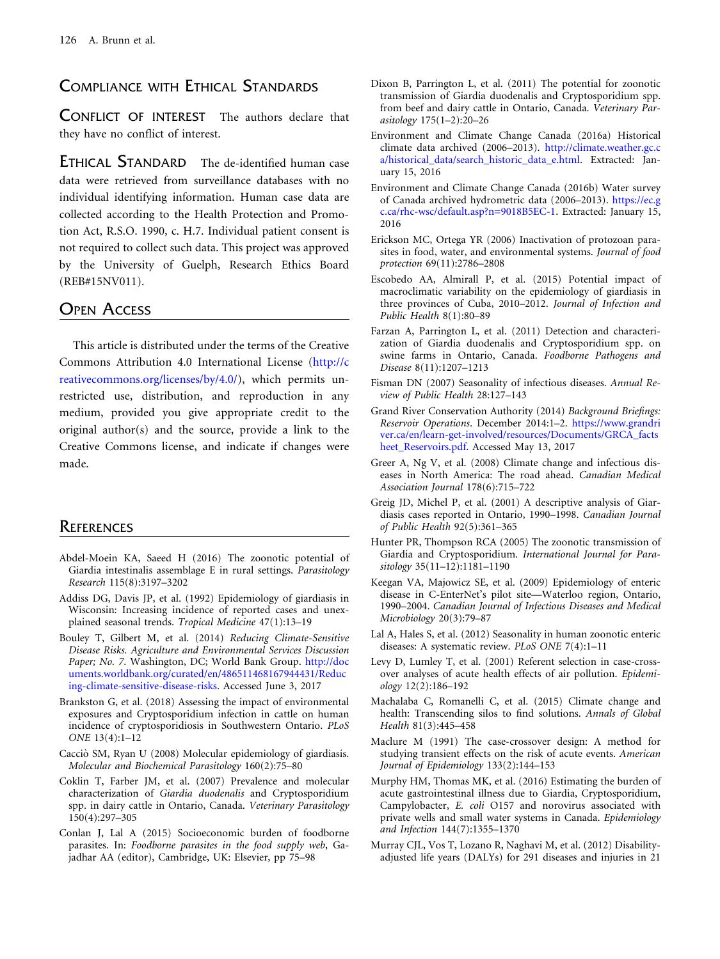## <span id="page-10-0"></span>COMPLIANCE WITH ETHICAL STANDARDS

CONFLICT OF INTEREST The authors declare that they have no conflict of interest.

ETHICAL STANDARD The de-identified human case data were retrieved from surveillance databases with no individual identifying information. Human case data are collected according to the Health Protection and Promotion Act, R.S.O. 1990, c. H.7. Individual patient consent is not required to collect such data. This project was approved by the University of Guelph, Research Ethics Board (REB#15NV011).

### OPEN ACCESS

This article is distributed under the terms of the Creative Commons Attribution 4.0 International License [\(http://c](http://creativecommons.org/licenses/by/4.0/) [reativecommons.org/licenses/by/4.0/\)](http://creativecommons.org/licenses/by/4.0/), which permits unrestricted use, distribution, and reproduction in any medium, provided you give appropriate credit to the original author(s) and the source, provide a link to the Creative Commons license, and indicate if changes were made.

### **REFERENCES**

- Abdel-Moein KA, Saeed H (2016) The zoonotic potential of Giardia intestinalis assemblage E in rural settings. Parasitology Research 115(8):3197–3202
- Addiss DG, Davis JP, et al. (1992) Epidemiology of giardiasis in Wisconsin: Increasing incidence of reported cases and unexplained seasonal trends. Tropical Medicine 47(1):13–19
- Bouley T, Gilbert M, et al. (2014) Reducing Climate-Sensitive Disease Risks. Agriculture and Environmental Services Discussion Paper; No. 7. Washington, DC; World Bank Group. [http://doc](http://documents.worldbank.org/curated/en/486511468167944431/Reducing-climate-sensitive-disease-risks) [uments.worldbank.org/curated/en/486511468167944431/Reduc](http://documents.worldbank.org/curated/en/486511468167944431/Reducing-climate-sensitive-disease-risks) [ing-climate-sensitive-disease-risks](http://documents.worldbank.org/curated/en/486511468167944431/Reducing-climate-sensitive-disease-risks). Accessed June 3, 2017
- Brankston G, et al. (2018) Assessing the impact of environmental exposures and Cryptosporidium infection in cattle on human incidence of cryptosporidiosis in Southwestern Ontario. PLoS ONE 13(4):1–12
- Caccio` SM, Ryan U (2008) Molecular epidemiology of giardiasis. Molecular and Biochemical Parasitology 160(2):75–80
- Coklin T, Farber JM, et al. (2007) Prevalence and molecular characterization of Giardia duodenalis and Cryptosporidium spp. in dairy cattle in Ontario, Canada. Veterinary Parasitology 150(4):297–305
- Conlan J, Lal A (2015) Socioeconomic burden of foodborne parasites. In: Foodborne parasites in the food supply web, Gajadhar AA (editor), Cambridge, UK: Elsevier, pp 75–98
- Dixon B, Parrington L, et al. (2011) The potential for zoonotic transmission of Giardia duodenalis and Cryptosporidium spp. from beef and dairy cattle in Ontario, Canada. Veterinary Parasitology 175(1–2):20–26
- Environment and Climate Change Canada (2016a) Historical climate data archived (2006–2013). [http://climate.weather.gc.c](http://climate.weather.gc.ca/historical_data/search_historic_data_e.html) [a/historical\\_data/search\\_historic\\_data\\_e.html](http://climate.weather.gc.ca/historical_data/search_historic_data_e.html). Extracted: January 15, 2016
- Environment and Climate Change Canada (2016b) Water survey of Canada archived hydrometric data (2006–2013). [https://ec.g](https://ec.gc.ca/rhc-wsc/default.asp?n=9018B5EC-1) [c.ca/rhc-wsc/default.asp?n=9018B5EC-1](https://ec.gc.ca/rhc-wsc/default.asp?n=9018B5EC-1). Extracted: January 15, 2016
- Erickson MC, Ortega YR (2006) Inactivation of protozoan parasites in food, water, and environmental systems. Journal of food protection 69(11):2786–2808
- Escobedo AA, Almirall P, et al. (2015) Potential impact of macroclimatic variability on the epidemiology of giardiasis in three provinces of Cuba, 2010–2012. Journal of Infection and Public Health 8(1):80–89
- Farzan A, Parrington L, et al. (2011) Detection and characterization of Giardia duodenalis and Cryptosporidium spp. on swine farms in Ontario, Canada. Foodborne Pathogens and Disease 8(11):1207–1213
- Fisman DN (2007) Seasonality of infectious diseases. Annual Review of Public Health 28:127–143
- Grand River Conservation Authority (2014) Background Briefings: Reservoir Operations. December 2014:1–2. [https://www.grandri](https://www.grandriver.ca/en/learn-get-involved/resources/Documents/GRCA_factsheet_Reservoirs.pdf) [ver.ca/en/learn-get-involved/resources/Documents/GRCA\\_facts](https://www.grandriver.ca/en/learn-get-involved/resources/Documents/GRCA_factsheet_Reservoirs.pdf) [heet\\_Reservoirs.pdf.](https://www.grandriver.ca/en/learn-get-involved/resources/Documents/GRCA_factsheet_Reservoirs.pdf) Accessed May 13, 2017
- Greer A, Ng V, et al. (2008) Climate change and infectious diseases in North America: The road ahead. Canadian Medical Association Journal 178(6):715–722
- Greig JD, Michel P, et al. (2001) A descriptive analysis of Giardiasis cases reported in Ontario, 1990–1998. Canadian Journal of Public Health 92(5):361–365
- Hunter PR, Thompson RCA (2005) The zoonotic transmission of Giardia and Cryptosporidium. International Journal for Parasitology 35(11–12):1181–1190
- Keegan VA, Majowicz SE, et al. (2009) Epidemiology of enteric disease in C-EnterNet's pilot site—Waterloo region, Ontario, 1990–2004. Canadian Journal of Infectious Diseases and Medical Microbiology 20(3):79–87
- Lal A, Hales S, et al. (2012) Seasonality in human zoonotic enteric diseases: A systematic review. PLoS ONE 7(4):1–11
- Levy D, Lumley T, et al. (2001) Referent selection in case-crossover analyses of acute health effects of air pollution. Epidemiology 12(2):186–192
- Machalaba C, Romanelli C, et al. (2015) Climate change and health: Transcending silos to find solutions. Annals of Global Health 81(3):445–458
- Maclure M (1991) The case-crossover design: A method for studying transient effects on the risk of acute events. American Journal of Epidemiology 133(2):144–153
- Murphy HM, Thomas MK, et al. (2016) Estimating the burden of acute gastrointestinal illness due to Giardia, Cryptosporidium, Campylobacter, E. coli O157 and norovirus associated with private wells and small water systems in Canada. Epidemiology and Infection 144(7):1355–1370
- Murray CJL, Vos T, Lozano R, Naghavi M, et al. (2012) Disabilityadjusted life years (DALYs) for 291 diseases and injuries in 21